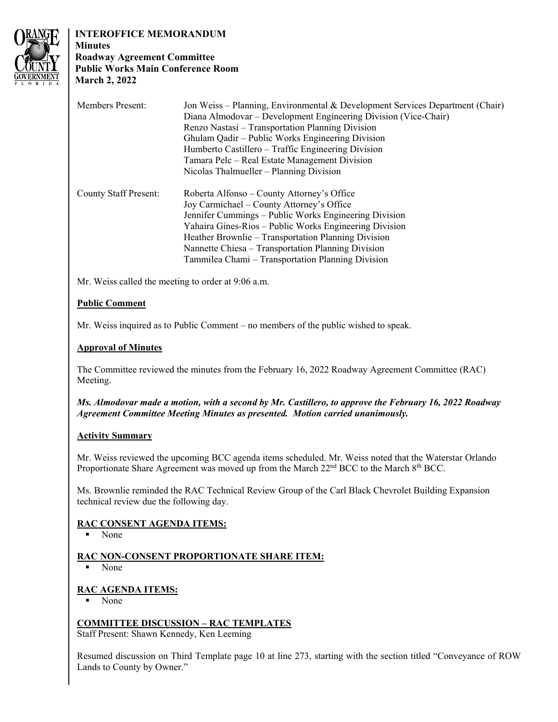

#### **INTEROFFICE MEMORANDUM Minutes**

# **Roadway Agreement Committee Public Works Main Conference Room March 2, 2022**

| <b>Members Present:</b>      | Jon Weiss – Planning, Environmental & Development Services Department (Chair)<br>Diana Almodovar - Development Engineering Division (Vice-Chair)<br>Renzo Nastasi – Transportation Planning Division<br>Ghulam Qadir – Public Works Engineering Division<br>Humberto Castillero – Traffic Engineering Division<br>Tamara Pelc – Real Estate Management Division<br>Nicolas Thalmueller – Planning Division |
|------------------------------|------------------------------------------------------------------------------------------------------------------------------------------------------------------------------------------------------------------------------------------------------------------------------------------------------------------------------------------------------------------------------------------------------------|
| <b>County Staff Present:</b> | Roberta Alfonso – County Attorney's Office<br>Joy Carmichael – County Attorney's Office<br>Jennifer Cummings – Public Works Engineering Division<br>Yahaira Gines-Rios – Public Works Engineering Division<br>Heather Brownlie – Transportation Planning Division<br>Nannette Chiesa – Transportation Planning Division<br>Tammilea Chami – Transportation Planning Division                               |

Mr. Weiss called the meeting to order at 9:06 a.m.

# **Public Comment**

Mr. Weiss inquired as to Public Comment – no members of the public wished to speak.

# **Approval of Minutes**

The Committee reviewed the minutes from the February 16, 2022 Roadway Agreement Committee (RAC) Meeting.

*Ms. Almodovar made a motion, with a second by Mr. Castillero, to approve the February 16, 2022 Roadway Agreement Committee Meeting Minutes as presented. Motion carried unanimously.* 

# **Activity Summary**

Mr. Weiss reviewed the upcoming BCC agenda items scheduled. Mr. Weiss noted that the Waterstar Orlando Proportionate Share Agreement was moved up from the March 22<sup>nd</sup> BCC to the March 8<sup>th</sup> BCC.

Ms. Brownlie reminded the RAC Technical Review Group of the Carl Black Chevrolet Building Expansion technical review due the following day.

# **RAC CONSENT AGENDA ITEMS:**

∙ None

# **RAC NON-CONSENT PROPORTIONATE SHARE ITEM:**

∙ None

# **RAC AGENDA ITEMS:**

∙ None

# **COMMITTEE DISCUSSION – RAC TEMPLATES**

Staff Present: Shawn Kennedy, Ken Leeming

Resumed discussion on Third Template page 10 at line 273, starting with the section titled "Conveyance of ROW Lands to County by Owner."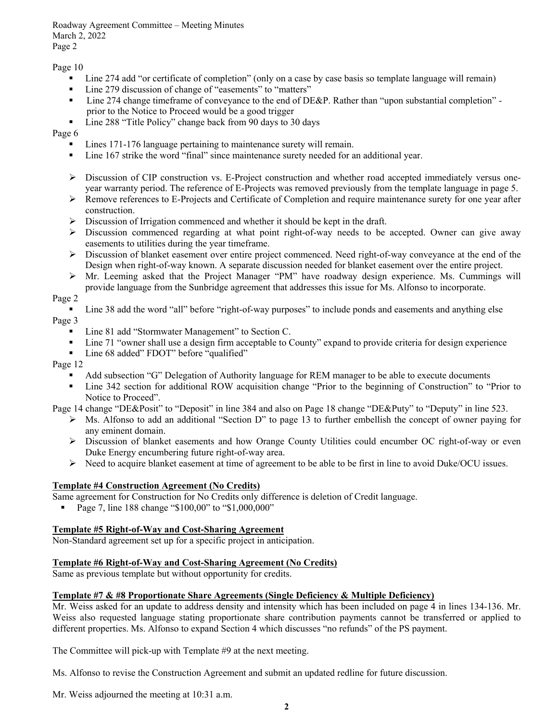Roadway Agreement Committee – Meeting Minutes March 2, 2022 Page 2

#### Page 10

- ∙ Line 274 add "or certificate of completion" (only on a case by case basis so template language will remain)
- ∙ Line 279 discussion of change of "easements" to "matters"
- ∙ Line 274 change timeframe of conveyance to the end of DE&P. Rather than "upon substantial completion" prior to the Notice to Proceed would be a good trigger
- ∙ Line 288 "Title Policy" change back from 90 days to 30 days

Page 6

- ∙ Lines 171-176 language pertaining to maintenance surety will remain.
- Line 167 strike the word "final" since maintenance surety needed for an additional year.
- ∙ Discussion of CIP construction vs. E-Project construction and whether road accepted immediately versus oneyear warranty period. The reference of E-Projects was removed previously from the template language in page 5.
- ∙ Remove references to E-Projects and Certificate of Completion and require maintenance surety for one year after construction.
- ∙ Discussion of Irrigation commenced and whether it should be kept in the draft.
- ∙ Discussion commenced regarding at what point right-of-way needs to be accepted. Owner can give away easements to utilities during the year timeframe.
- ∙ Discussion of blanket easement over entire project commenced. Need right-of-way conveyance at the end of the Design when right-of-way known. A separate discussion needed for blanket easement over the entire project.
- ∙ Mr. Leeming asked that the Project Manager "PM" have roadway design experience. Ms. Cummings will provide language from the Sunbridge agreement that addresses this issue for Ms. Alfonso to incorporate.

### Page 2

- Line 38 add the word "all" before "right-of-way purposes" to include ponds and easements and anything else Page 3
	- ∙ Line 81 add "Stormwater Management" to Section C.
	- Line 71 "owner shall use a design firm acceptable to County" expand to provide criteria for design experience
	- ∙ Line 68 added" FDOT" before "qualified"

#### Page 12

- ∙ Add subsection "G" Delegation of Authority language for REM manager to be able to execute documents
- ∙ Line 342 section for additional ROW acquisition change "Prior to the beginning of Construction" to "Prior to Notice to Proceed".

Page 14 change "DE&Posit" to "Deposit" in line 384 and also on Page 18 change "DE&Puty" to "Deputy" in line 523.

- ∙ Ms. Alfonso to add an additional "Section D" to page 13 to further embellish the concept of owner paying for any eminent domain.
- ∙ Discussion of blanket easements and how Orange County Utilities could encumber OC right-of-way or even Duke Energy encumbering future right-of-way area.
- ∙ Need to acquire blanket easement at time of agreement to be able to be first in line to avoid Duke/OCU issues.

### **Template #4 Construction Agreement (No Credits)**

Same agreement for Construction for No Credits only difference is deletion of Credit language.

■ Page 7, line 188 change "\$100,00" to "\$1,000,000"

### **Template #5 Right-of-Way and Cost-Sharing Agreement**

Non-Standard agreement set up for a specific project in anticipation.

### **Template #6 Right-of-Way and Cost-Sharing Agreement (No Credits)**

Same as previous template but without opportunity for credits.

#### **Template #7 & #8 Proportionate Share Agreements (Single Deficiency & Multiple Deficiency)**

Mr. Weiss asked for an update to address density and intensity which has been included on page 4 in lines 134-136. Mr. Weiss also requested language stating proportionate share contribution payments cannot be transferred or applied to different properties. Ms. Alfonso to expand Section 4 which discusses "no refunds" of the PS payment.

The Committee will pick-up with Template #9 at the next meeting.

Ms. Alfonso to revise the Construction Agreement and submit an updated redline for future discussion.

Mr. Weiss adjourned the meeting at 10:31 a.m.